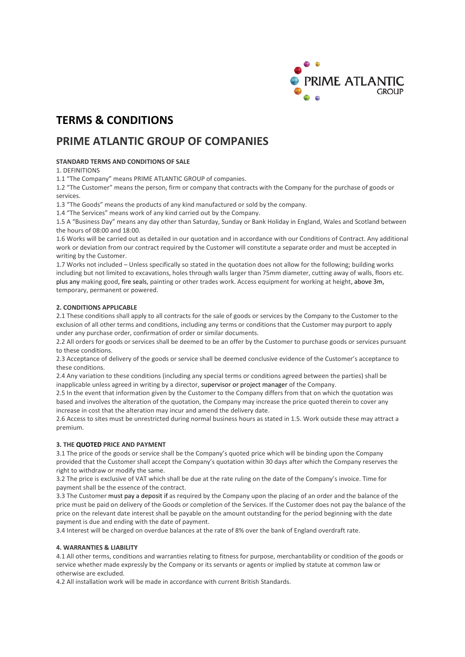

# **TERMS & CONDITIONS**

# **PRIME ATLANTIC GROUP OF COMPANIES**

# **STANDARD TERMS AND CONDITIONS OF SALE**

1. DEFINITIONS

1.1 "The Company" means PRIME ATLANTIC GROUP of companies.

1.2 "The Customer" means the person, firm or company that contracts with the Company for the purchase of goods or services.

1.3 "The Goods" means the products of any kind manufactured or sold by the company.

1.4 "The Services" means work of any kind carried out by the Company.

1.5 A "Business Day" means any day other than Saturday, Sunday or Bank Holiday in England, Wales and Scotland between the hours of 08:00 and 18:00.

1.6 Works will be carried out as detailed in our quotation and in accordance with our Conditions of Contract. Any additional work or deviation from our contract required by the Customer will constitute a separate order and must be accepted in writing by the Customer.

1.7 Works not included – Unless specifically so stated in the quotation does not allow for the following; building works including but not limited to excavations, holes through walls larger than 75mm diameter, cutting away of walls, floors etc. plus any making good, fire seals, painting or other trades work. Access equipment for working at height, above 3m, temporary, permanent or powered.

## **2. CONDITIONS APPLICABLE**

2.1 These conditions shall apply to all contracts for the sale of goods or services by the Company to the Customer to the exclusion of all other terms and conditions, including any terms or conditions that the Customer may purport to apply under any purchase order, confirmation of order or similar documents.

2.2 All orders for goods or services shall be deemed to be an offer by the Customer to purchase goods or services pursuant to these conditions.

2.3 Acceptance of delivery of the goods or service shall be deemed conclusive evidence of the Customer's acceptance to these conditions.

2.4 Any variation to these conditions (including any special terms or conditions agreed between the parties) shall be inapplicable unless agreed in writing by a director, supervisor or project manager of the Company.

2.5 In the event that information given by the Customer to the Company differs from that on which the quotation was based and involves the alteration of the quotation, the Company may increase the price quoted therein to cover any increase in cost that the alteration may incur and amend the delivery date.

2.6 Access to sites must be unrestricted during normal business hours as stated in 1.5. Work outside these may attract a premium.

# **3. THE QUOTED PRICE AND PAYMENT**

3.1 The price of the goods or service shall be the Company's quoted price which will be binding upon the Company provided that the Customer shall accept the Company's quotation within 30 days after which the Company reserves the right to withdraw or modify the same.

3.2 The price is exclusive of VAT which shall be due at the rate ruling on the date of the Company's invoice. Time for payment shall be the essence of the contract.

3.3 The Customer must pay a deposit if as required by the Company upon the placing of an order and the balance of the price must be paid on delivery of the Goods or completion of the Services. If the Customer does not pay the balance of the price on the relevant date interest shall be payable on the amount outstanding for the period beginning with the date payment is due and ending with the date of payment.

3.4 Interest will be charged on overdue balances at the rate of 8% over the bank of England overdraft rate.

## **4. WARRANTIES & LIABILITY**

4.1 All other terms, conditions and warranties relating to fitness for purpose, merchantability or condition of the goods or service whether made expressly by the Company or its servants or agents or implied by statute at common law or otherwise are excluded.

4.2 All installation work will be made in accordance with current British Standards.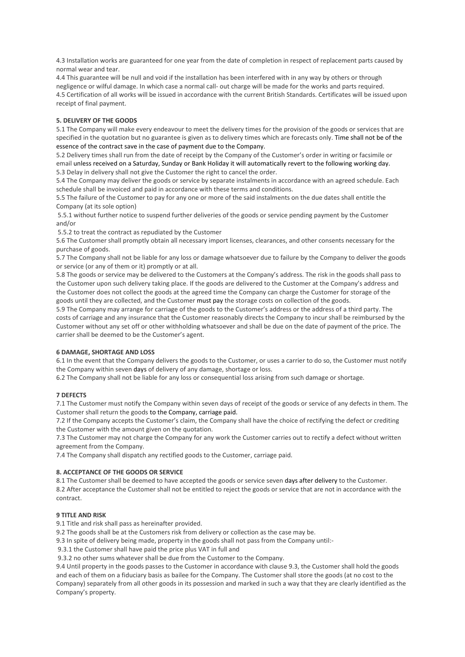4.3 Installation works are guaranteed for one year from the date of completion in respect of replacement parts caused by normal wear and tear.

4.4 This guarantee will be null and void if the installation has been interfered with in any way by others or through negligence or wilful damage. In which case a normal call- out charge will be made for the works and parts required. 4.5 Certification of all works will be issued in accordance with the current British Standards. Certificates will be issued upon receipt of final payment.

## **5. DELIVERY OF THE GOODS**

5.1 The Company will make every endeavour to meet the delivery times for the provision of the goods or services that are specified in the quotation but no guarantee is given as to delivery times which are forecasts only. Time shall not be of the essence of the contract save in the case of payment due to the Company.

5.2 Delivery times shall run from the date of receipt by the Company of the Customer's order in writing or facsimile or email unless received on a Saturday, Sunday or Bank Holiday it will automatically revert to the following working day. 5.3 Delay in delivery shall not give the Customer the right to cancel the order.

5.4 The Company may deliver the goods or service by separate instalments in accordance with an agreed schedule. Each schedule shall be invoiced and paid in accordance with these terms and conditions.

5.5 The failure of the Customer to pay for any one or more of the said instalments on the due dates shall entitle the Company (at its sole option)

5.5.1 without further notice to suspend further deliveries of the goods or service pending payment by the Customer and/or

5.5.2 to treat the contract as repudiated by the Customer

5.6 The Customer shall promptly obtain all necessary import licenses, clearances, and other consents necessary for the purchase of goods.

5.7 The Company shall not be liable for any loss or damage whatsoever due to failure by the Company to deliver the goods or service (or any of them or it) promptly or at all.

5.8 The goods or service may be delivered to the Customers at the Company's address. The risk in the goods shall pass to the Customer upon such delivery taking place. If the goods are delivered to the Customer at the Company's address and the Customer does not collect the goods at the agreed time the Company can charge the Customer for storage of the goods until they are collected, and the Customer must pay the storage costs on collection of the goods.

5.9 The Company may arrange for carriage of the goods to the Customer's address or the address of a third party. The costs of carriage and any insurance that the Customer reasonably directs the Company to incur shall be reimbursed by the Customer without any set off or other withholding whatsoever and shall be due on the date of payment of the price. The carrier shall be deemed to be the Customer's agent.

## **6 DAMAGE, SHORTAGE AND LOSS**

6.1 In the event that the Company delivers the goods to the Customer, or uses a carrier to do so, the Customer must notify the Company within seven days of delivery of any damage, shortage or loss.

6.2 The Company shall not be liable for any loss or consequential loss arising from such damage or shortage.

## **7 DEFECTS**

7.1 The Customer must notify the Company within seven days of receipt of the goods or service of any defects in them. The Customer shall return the goods to the Company, carriage paid.

7.2 If the Company accepts the Customer's claim, the Company shall have the choice of rectifying the defect or crediting the Customer with the amount given on the quotation.

7.3 The Customer may not charge the Company for any work the Customer carries out to rectify a defect without written agreement from the Company.

7.4 The Company shall dispatch any rectified goods to the Customer, carriage paid.

# **8. ACCEPTANCE OF THE GOODS OR SERVICE**

8.1 The Customer shall be deemed to have accepted the goods or service seven days after delivery to the Customer. 8.2 After acceptance the Customer shall not be entitled to reject the goods or service that are not in accordance with the contract.

## **9 TITLE AND RISK**

9.1 Title and risk shall pass as hereinafter provided.

9.2 The goods shall be at the Customers risk from delivery or collection as the case may be.

9.3 In spite of delivery being made, property in the goods shall not pass from the Company until:-

9.3.1 the Customer shall have paid the price plus VAT in full and

9.3.2 no other sums whatever shall be due from the Customer to the Company.

9.4 Until property in the goods passes to the Customer in accordance with clause 9.3, the Customer shall hold the goods and each of them on a fiduciary basis as bailee for the Company. The Customer shall store the goods (at no cost to the Company) separately from all other goods in its possession and marked in such a way that they are clearly identified as the Company's property.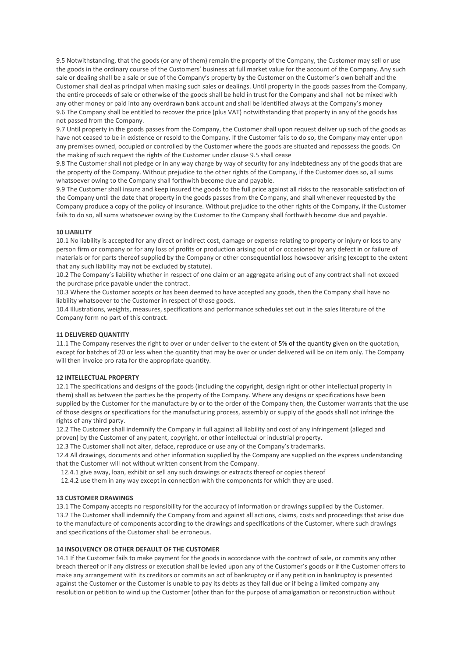9.5 Notwithstanding, that the goods (or any of them) remain the property of the Company, the Customer may sell or use the goods in the ordinary course of the Customers' business at full market value for the account of the Company. Any such sale or dealing shall be a sale or sue of the Company's property by the Customer on the Customer's own behalf and the Customer shall deal as principal when making such sales or dealings. Until property in the goods passes from the Company, the entire proceeds of sale or otherwise of the goods shall be held in trust for the Company and shall not be mixed with any other money or paid into any overdrawn bank account and shall be identified always at the Company's money 9.6 The Company shall be entitled to recover the price (plus VAT) notwithstanding that property in any of the goods has not passed from the Company.

9.7 Until property in the goods passes from the Company, the Customer shall upon request deliver up such of the goods as have not ceased to be in existence or resold to the Company. If the Customer fails to do so, the Company may enter upon any premises owned, occupied or controlled by the Customer where the goods are situated and repossess the goods. On the making of such request the rights of the Customer under clause 9.5 shall cease

9.8 The Customer shall not pledge or in any way charge by way of security for any indebtedness any of the goods that are the property of the Company. Without prejudice to the other rights of the Company, if the Customer does so, all sums whatsoever owing to the Company shall forthwith become due and payable.

9.9 The Customer shall insure and keep insured the goods to the full price against all risks to the reasonable satisfaction of the Company until the date that property in the goods passes from the Company, and shall whenever requested by the Company produce a copy of the policy of insurance. Without prejudice to the other rights of the Company, if the Customer fails to do so, all sums whatsoever owing by the Customer to the Company shall forthwith become due and payable.

#### **10 LIABILITY**

10.1 No liability is accepted for any direct or indirect cost, damage or expense relating to property or injury or loss to any person firm or company or for any loss of profits or production arising out of or occasioned by any defect in or failure of materials or for parts thereof supplied by the Company or other consequential loss howsoever arising (except to the extent that any such liability may not be excluded by statute).

10.2 The Company's liability whether in respect of one claim or an aggregate arising out of any contract shall not exceed the purchase price payable under the contract.

10.3 Where the Customer accepts or has been deemed to have accepted any goods, then the Company shall have no liability whatsoever to the Customer in respect of those goods.

10.4 Illustrations, weights, measures, specifications and performance schedules set out in the sales literature of the Company form no part of this contract.

#### **11 DELIVERED QUANTITY**

11.1 The Company reserves the right to over or under deliver to the extent of 5% of the quantity given on the quotation, except for batches of 20 or less when the quantity that may be over or under delivered will be on item only. The Company will then invoice pro rata for the appropriate quantity.

#### **12 INTELLECTUAL PROPERTY**

12.1 The specifications and designs of the goods (including the copyright, design right or other intellectual property in them) shall as between the parties be the property of the Company. Where any designs or specifications have been supplied by the Customer for the manufacture by or to the order of the Company then, the Customer warrants that the use of those designs or specifications for the manufacturing process, assembly or supply of the goods shall not infringe the rights of any third party.

12.2 The Customer shall indemnify the Company in full against all liability and cost of any infringement (alleged and proven) by the Customer of any patent, copyright, or other intellectual or industrial property.

12.3 The Customer shall not alter, deface, reproduce or use any of the Company's trademarks.

12.4 All drawings, documents and other information supplied by the Company are supplied on the express understanding that the Customer will not without written consent from the Company.

12.4.1 give away, loan, exhibit or sell any such drawings or extracts thereof or copies thereof

12.4.2 use them in any way except in connection with the components for which they are used.

## **13 CUSTOMER DRAWINGS**

13.1 The Company accepts no responsibility for the accuracy of information or drawings supplied by the Customer. 13.2 The Customer shall indemnify the Company from and against all actions, claims, costs and proceedings that arise due to the manufacture of components according to the drawings and specifications of the Customer, where such drawings and specifications of the Customer shall be erroneous.

### **14 INSOLVENCY OR OTHER DEFAULT OF THE CUSTOMER**

14.1 If the Customer fails to make payment for the goods in accordance with the contract of sale, or commits any other breach thereof or if any distress or execution shall be levied upon any of the Customer's goods or if the Customer offers to make any arrangement with its creditors or commits an act of bankruptcy or if any petition in bankruptcy is presented against the Customer or the Customer is unable to pay its debts as they fall due or if being a limited company any resolution or petition to wind up the Customer (other than for the purpose of amalgamation or reconstruction without